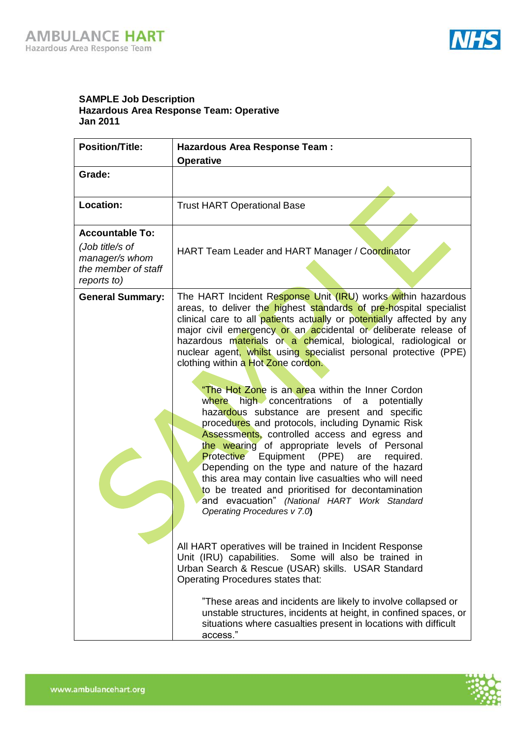

## **SAMPLE Job Description Hazardous Area Response Team: Operative Jan 2011**

| <b>Position/Title:</b>                                                  | <b>Hazardous Area Response Team:</b>                                                                                                                                                                                                                                                                                                                                                                                                                                                                                                                                                                                |  |  |
|-------------------------------------------------------------------------|---------------------------------------------------------------------------------------------------------------------------------------------------------------------------------------------------------------------------------------------------------------------------------------------------------------------------------------------------------------------------------------------------------------------------------------------------------------------------------------------------------------------------------------------------------------------------------------------------------------------|--|--|
|                                                                         | <b>Operative</b>                                                                                                                                                                                                                                                                                                                                                                                                                                                                                                                                                                                                    |  |  |
| Grade:                                                                  |                                                                                                                                                                                                                                                                                                                                                                                                                                                                                                                                                                                                                     |  |  |
| Location:                                                               | <b>Trust HART Operational Base</b>                                                                                                                                                                                                                                                                                                                                                                                                                                                                                                                                                                                  |  |  |
| <b>Accountable To:</b>                                                  |                                                                                                                                                                                                                                                                                                                                                                                                                                                                                                                                                                                                                     |  |  |
| (Job title/s of<br>manager/s whom<br>the member of staff<br>reports to) | HART Team Leader and HART Manager / Coordinator                                                                                                                                                                                                                                                                                                                                                                                                                                                                                                                                                                     |  |  |
| <b>General Summary:</b>                                                 | The HART Incident Response Unit (IRU) works within hazardous<br>areas, to deliver the highest standards of pre-hospital specialist<br>clinical care to all patients actually or potentially affected by any<br>major civil emergency or an accidental or deliberate release of<br>hazardous materials or a chemical, biological, radiological or<br>nuclear agent, whilst using specialist personal protective (PPE)<br>clothing within a Hot Zone cordon.                                                                                                                                                          |  |  |
|                                                                         | "The Hot Zone is an area within the Inner Cordon<br>high concentrations<br>where<br>of a<br>potentially<br>hazardous substance are present and specific<br>procedures and protocols, including Dynamic Risk<br>Assessments, controlled access and egress and<br>the wearing of appropriate levels of Personal<br><b>Protective</b><br>Equipment (PPE) are<br>required.<br>Depending on the type and nature of the hazard<br>this area may contain live casualties who will need<br>to be treated and prioritised for decontamination<br>and evacuation" (National HART Work Standard<br>Operating Procedures v 7.0) |  |  |
|                                                                         | All HART operatives will be trained in Incident Response<br>Unit (IRU) capabilities. Some will also be trained in<br>Urban Search & Rescue (USAR) skills. USAR Standard<br>Operating Procedures states that:<br>"These areas and incidents are likely to involve collapsed or<br>unstable structures, incidents at height, in confined spaces, or<br>situations where casualties present in locations with difficult<br>access."                                                                                                                                                                                    |  |  |

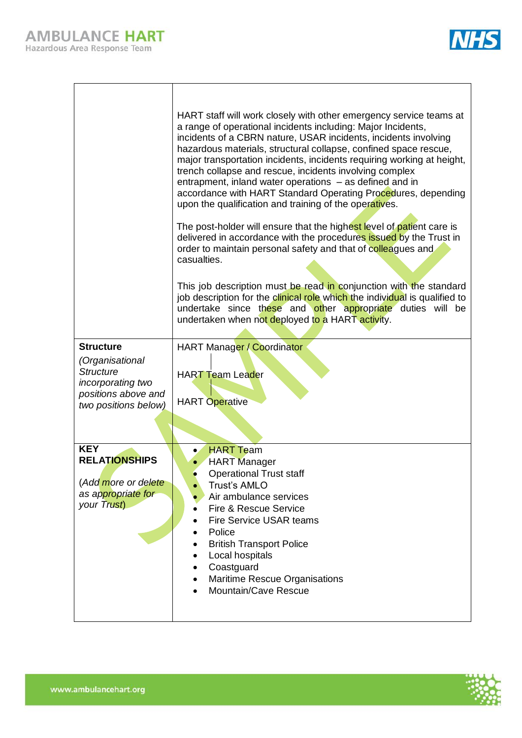|--|

| <b>Structure</b>                         | HART staff will work closely with other emergency service teams at<br>a range of operational incidents including: Major Incidents,<br>incidents of a CBRN nature, USAR incidents, incidents involving<br>hazardous materials, structural collapse, confined space rescue,<br>major transportation incidents, incidents requiring working at height,<br>trench collapse and rescue, incidents involving complex<br>entrapment, inland water operations - as defined and in<br>accordance with HART Standard Operating Procedures, depending<br>upon the qualification and training of the operatives.<br>The post-holder will ensure that the highest level of patient care is<br>delivered in accordance with the procedures issued by the Trust in<br>order to maintain personal safety and that of colleagues and<br>casualties.<br>This job description must be read in conjunction with the standard<br>job description for the clinical role which the individual is qualified to<br>undertake since these and other appropriate duties will be<br>undertaken when not deployed to a HART activity.<br>HART Manager / Coordinator |
|------------------------------------------|----------------------------------------------------------------------------------------------------------------------------------------------------------------------------------------------------------------------------------------------------------------------------------------------------------------------------------------------------------------------------------------------------------------------------------------------------------------------------------------------------------------------------------------------------------------------------------------------------------------------------------------------------------------------------------------------------------------------------------------------------------------------------------------------------------------------------------------------------------------------------------------------------------------------------------------------------------------------------------------------------------------------------------------------------------------------------------------------------------------------------------------|
| (Organisational                          |                                                                                                                                                                                                                                                                                                                                                                                                                                                                                                                                                                                                                                                                                                                                                                                                                                                                                                                                                                                                                                                                                                                                        |
| <b>Structure</b>                         | <b>HART Team Leader</b>                                                                                                                                                                                                                                                                                                                                                                                                                                                                                                                                                                                                                                                                                                                                                                                                                                                                                                                                                                                                                                                                                                                |
| incorporating two<br>positions above and |                                                                                                                                                                                                                                                                                                                                                                                                                                                                                                                                                                                                                                                                                                                                                                                                                                                                                                                                                                                                                                                                                                                                        |
| two positions below)                     | <b>HART</b> Operative                                                                                                                                                                                                                                                                                                                                                                                                                                                                                                                                                                                                                                                                                                                                                                                                                                                                                                                                                                                                                                                                                                                  |
|                                          |                                                                                                                                                                                                                                                                                                                                                                                                                                                                                                                                                                                                                                                                                                                                                                                                                                                                                                                                                                                                                                                                                                                                        |
| <b>KEY</b>                               | <b>HART Team</b>                                                                                                                                                                                                                                                                                                                                                                                                                                                                                                                                                                                                                                                                                                                                                                                                                                                                                                                                                                                                                                                                                                                       |
| <b>RELATIONSHIPS</b>                     | <b>HART</b> Manager                                                                                                                                                                                                                                                                                                                                                                                                                                                                                                                                                                                                                                                                                                                                                                                                                                                                                                                                                                                                                                                                                                                    |
| (Add more or delete                      | <b>Operational Trust staff</b><br><b>Trust's AMLO</b>                                                                                                                                                                                                                                                                                                                                                                                                                                                                                                                                                                                                                                                                                                                                                                                                                                                                                                                                                                                                                                                                                  |
| as appropriate for                       | Air ambulance services                                                                                                                                                                                                                                                                                                                                                                                                                                                                                                                                                                                                                                                                                                                                                                                                                                                                                                                                                                                                                                                                                                                 |
| your Trust)                              | <b>Fire &amp; Rescue Service</b><br>Fire Service USAR teams                                                                                                                                                                                                                                                                                                                                                                                                                                                                                                                                                                                                                                                                                                                                                                                                                                                                                                                                                                                                                                                                            |
|                                          | Police<br>$\bullet$                                                                                                                                                                                                                                                                                                                                                                                                                                                                                                                                                                                                                                                                                                                                                                                                                                                                                                                                                                                                                                                                                                                    |
|                                          | <b>British Transport Police</b><br>$\bullet$                                                                                                                                                                                                                                                                                                                                                                                                                                                                                                                                                                                                                                                                                                                                                                                                                                                                                                                                                                                                                                                                                           |
|                                          | Local hospitals<br>$\bullet$<br>Coastguard<br>٠                                                                                                                                                                                                                                                                                                                                                                                                                                                                                                                                                                                                                                                                                                                                                                                                                                                                                                                                                                                                                                                                                        |
|                                          | <b>Maritime Rescue Organisations</b><br>٠                                                                                                                                                                                                                                                                                                                                                                                                                                                                                                                                                                                                                                                                                                                                                                                                                                                                                                                                                                                                                                                                                              |
|                                          | Mountain/Cave Rescue                                                                                                                                                                                                                                                                                                                                                                                                                                                                                                                                                                                                                                                                                                                                                                                                                                                                                                                                                                                                                                                                                                                   |
|                                          |                                                                                                                                                                                                                                                                                                                                                                                                                                                                                                                                                                                                                                                                                                                                                                                                                                                                                                                                                                                                                                                                                                                                        |

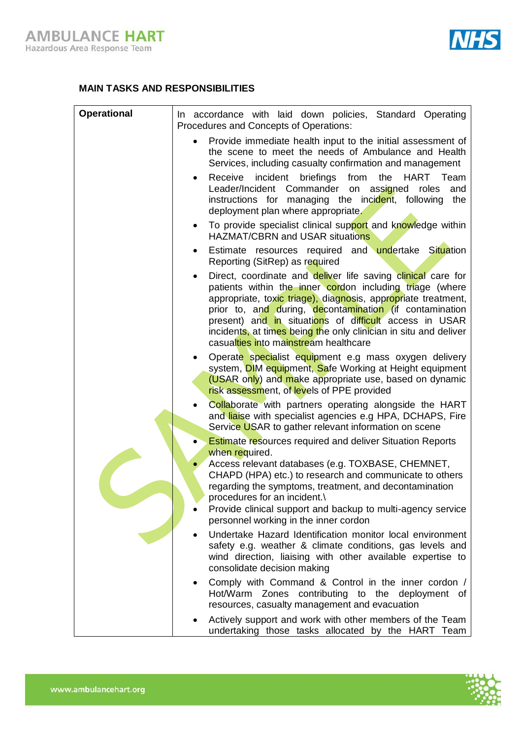

## **MAIN TASKS AND RESPONSIBILITIES**

| <b>Operational</b> | In accordance with laid down policies, Standard Operating<br>Procedures and Concepts of Operations:                                                                                                                                                                                                                                                                                                                              |
|--------------------|----------------------------------------------------------------------------------------------------------------------------------------------------------------------------------------------------------------------------------------------------------------------------------------------------------------------------------------------------------------------------------------------------------------------------------|
|                    | Provide immediate health input to the initial assessment of<br>the scene to meet the needs of Ambulance and Health<br>Services, including casualty confirmation and management                                                                                                                                                                                                                                                   |
|                    | incident<br>briefings<br>from<br>the<br><b>HART</b><br>Receive<br>Team<br>$\bullet$<br>Leader/Incident Commander on assigned<br>and<br>roles<br>instructions for managing the incident, following<br>the<br>deployment plan where appropriate.                                                                                                                                                                                   |
|                    | To provide specialist clinical support and knowledge within<br>$\bullet$<br><b>HAZMAT/CBRN and USAR situations</b>                                                                                                                                                                                                                                                                                                               |
|                    | Estimate resources required and undertake Situation<br>٠<br>Reporting (SitRep) as required                                                                                                                                                                                                                                                                                                                                       |
|                    | Direct, coordinate and deliver life saving clinical care for<br>٠<br>patients within the inner cordon including triage (where<br>appropriate, toxic triage), diagnosis, appropriate treatment,<br>prior to, and during, decontamination (if contamination<br>present) and in situations of difficult access in USAR<br>incidents, at times being the only clinician in situ and deliver<br>casualties into mainstream healthcare |
|                    | Operate specialist equipment e.g mass oxygen delivery<br>system, <b>DIM equipment, Safe Working at Height equipment</b><br>(USAR only) and make appropriate use, based on dynamic<br>risk assessment, of levels of PPE provided                                                                                                                                                                                                  |
|                    | Collaborate with partners operating alongside the HART<br>$\bullet$<br>and liaise with specialist agencies e.g HPA, DCHAPS, Fire<br>Service USAR to gather relevant information on scene                                                                                                                                                                                                                                         |
|                    | <b>Estimate resources required and deliver Situation Reports</b><br>when required.                                                                                                                                                                                                                                                                                                                                               |
|                    | Access relevant databases (e.g. TOXBASE, CHEMNET,<br>$\bullet$<br>CHAPD (HPA) etc.) to research and communicate to others<br>regarding the symptoms, treatment, and decontamination<br>procedures for an incident.\<br>Provide clinical support and backup to multi-agency service                                                                                                                                               |
|                    | personnel working in the inner cordon<br>Undertake Hazard Identification monitor local environment                                                                                                                                                                                                                                                                                                                               |
|                    | safety e.g. weather & climate conditions, gas levels and<br>wind direction, liaising with other available expertise to<br>consolidate decision making                                                                                                                                                                                                                                                                            |
|                    | Comply with Command & Control in the inner cordon /<br>Hot/Warm Zones contributing to the deployment of<br>resources, casualty management and evacuation                                                                                                                                                                                                                                                                         |
|                    | Actively support and work with other members of the Team<br>undertaking those tasks allocated by the HART Team                                                                                                                                                                                                                                                                                                                   |

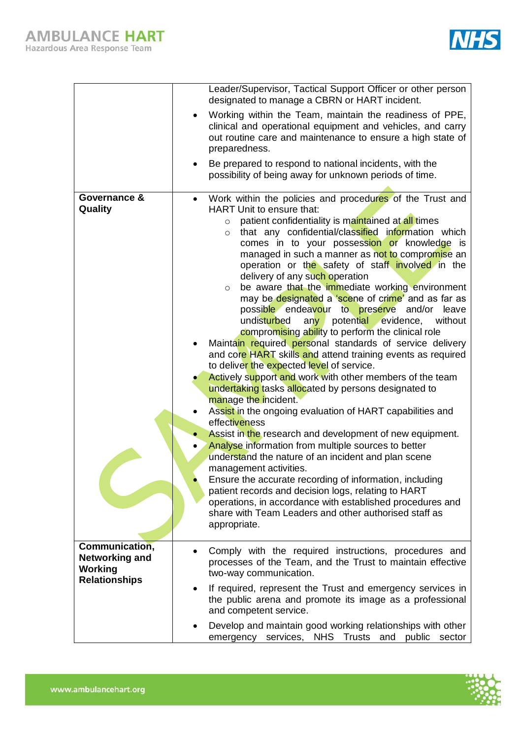

|                                                                                   |                        | Leader/Supervisor, Tactical Support Officer or other person<br>designated to manage a CBRN or HART incident.                                                                                                                                                                                                                                                                                                                                                                                                                                                                                                                                                                                                                                                                                                                                                                                                                                                                                                                                                                                                                                                                                                                                                                                                                                                                                                                                                                                                                                                |
|-----------------------------------------------------------------------------------|------------------------|-------------------------------------------------------------------------------------------------------------------------------------------------------------------------------------------------------------------------------------------------------------------------------------------------------------------------------------------------------------------------------------------------------------------------------------------------------------------------------------------------------------------------------------------------------------------------------------------------------------------------------------------------------------------------------------------------------------------------------------------------------------------------------------------------------------------------------------------------------------------------------------------------------------------------------------------------------------------------------------------------------------------------------------------------------------------------------------------------------------------------------------------------------------------------------------------------------------------------------------------------------------------------------------------------------------------------------------------------------------------------------------------------------------------------------------------------------------------------------------------------------------------------------------------------------------|
|                                                                                   |                        | Working within the Team, maintain the readiness of PPE,<br>clinical and operational equipment and vehicles, and carry<br>out routine care and maintenance to ensure a high state of<br>preparedness.                                                                                                                                                                                                                                                                                                                                                                                                                                                                                                                                                                                                                                                                                                                                                                                                                                                                                                                                                                                                                                                                                                                                                                                                                                                                                                                                                        |
|                                                                                   |                        | Be prepared to respond to national incidents, with the<br>possibility of being away for unknown periods of time.                                                                                                                                                                                                                                                                                                                                                                                                                                                                                                                                                                                                                                                                                                                                                                                                                                                                                                                                                                                                                                                                                                                                                                                                                                                                                                                                                                                                                                            |
| Governance &<br>Quality                                                           | $\bullet$<br>$\bullet$ | Work within the policies and procedures of the Trust and<br>HART Unit to ensure that:<br>patient confidentiality is maintained at all times<br>$\circ$<br>that any confidential/classified information which<br>$\circ$<br>comes in to your possession or knowledge is<br>managed in such a manner as not to compromise an<br>operation or the safety of staff involved in the<br>delivery of any such operation<br>be aware that the immediate working environment<br>$\circ$<br>may be designated a 'scene of crime' and as far as<br>possible endeavour to preserve and/or leave<br>undisturbed<br>any potential evidence,<br>without<br>compromising ability to perform the clinical role<br>Maintain required personal standards of service delivery<br>and core HART skills and attend training events as required<br>to deliver the expected level of service.<br>Actively support and work with other members of the team<br>undertaking tasks allocated by persons designated to<br>manage the incident.<br>Assist in the ongoing evaluation of HART capabilities and<br>effectiveness<br>Assist in the research and development of new equipment.<br>Analyse information from multiple sources to better<br>understand the nature of an incident and plan scene<br>management activities.<br>Ensure the accurate recording of information, including<br>patient records and decision logs, relating to HART<br>operations, in accordance with established procedures and<br>share with Team Leaders and other authorised staff as<br>appropriate. |
| Communication,<br><b>Networking and</b><br><b>Working</b><br><b>Relationships</b> |                        | Comply with the required instructions, procedures and<br>processes of the Team, and the Trust to maintain effective<br>two-way communication.                                                                                                                                                                                                                                                                                                                                                                                                                                                                                                                                                                                                                                                                                                                                                                                                                                                                                                                                                                                                                                                                                                                                                                                                                                                                                                                                                                                                               |
|                                                                                   |                        | If required, represent the Trust and emergency services in<br>the public arena and promote its image as a professional<br>and competent service.                                                                                                                                                                                                                                                                                                                                                                                                                                                                                                                                                                                                                                                                                                                                                                                                                                                                                                                                                                                                                                                                                                                                                                                                                                                                                                                                                                                                            |
|                                                                                   |                        | Develop and maintain good working relationships with other<br>emergency services, NHS Trusts and public sector                                                                                                                                                                                                                                                                                                                                                                                                                                                                                                                                                                                                                                                                                                                                                                                                                                                                                                                                                                                                                                                                                                                                                                                                                                                                                                                                                                                                                                              |

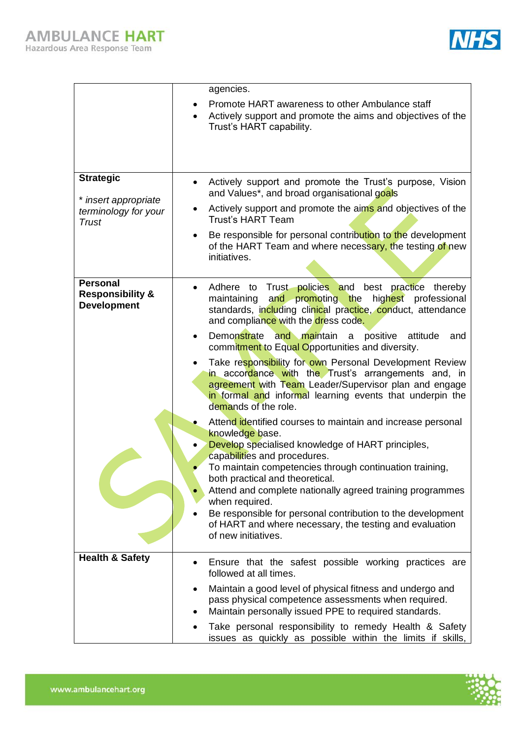

|                                                                      |           | agencies.                                                                                                                                                                                                                                                   |
|----------------------------------------------------------------------|-----------|-------------------------------------------------------------------------------------------------------------------------------------------------------------------------------------------------------------------------------------------------------------|
|                                                                      |           | Promote HART awareness to other Ambulance staff<br>Actively support and promote the aims and objectives of the<br>Trust's HART capability.                                                                                                                  |
|                                                                      |           |                                                                                                                                                                                                                                                             |
| <b>Strategic</b>                                                     | $\bullet$ | Actively support and promote the Trust's purpose, Vision<br>and Values*, and broad organisational goals                                                                                                                                                     |
| * insert appropriate<br>terminology for your<br>Trust                | ٠         | Actively support and promote the aims and objectives of the<br><b>Trust's HART Team</b>                                                                                                                                                                     |
|                                                                      | $\bullet$ | Be responsible for personal contribution to the development<br>of the HART Team and where necessary, the testing of new<br>initiatives.                                                                                                                     |
| <b>Personal</b><br><b>Responsibility &amp;</b><br><b>Development</b> |           | Adhere to Trust policies and best practice thereby<br>and promoting the highest professional<br>maintaining<br>standards, including clinical practice, conduct, attendance<br>and compliance with the dress code.                                           |
|                                                                      | $\bullet$ | Demonstrate and maintain a positive<br>attitude<br>and<br>commitment to Equal Opportunities and diversity.                                                                                                                                                  |
|                                                                      | $\bullet$ | Take responsibility for own Personal Development Review<br>in accordance with the Trust's arrangements and, in<br>agreement with Team Leader/Supervisor plan and engage<br>in formal and informal learning events that underpin the<br>demands of the role. |
|                                                                      |           | Attend identified courses to maintain and increase personal<br>knowledge base.                                                                                                                                                                              |
|                                                                      |           | Develop specialised knowledge of HART principles,<br>capabilities and procedures.                                                                                                                                                                           |
|                                                                      |           | To maintain competencies through continuation training,<br>both practical and theoretical.                                                                                                                                                                  |
|                                                                      |           | Attend and complete nationally agreed training programmes<br>when required.                                                                                                                                                                                 |
|                                                                      |           | Be responsible for personal contribution to the development<br>of HART and where necessary, the testing and evaluation<br>of new initiatives.                                                                                                               |
| <b>Health &amp; Safety</b>                                           | $\bullet$ | Ensure that the safest possible working practices are<br>followed at all times.                                                                                                                                                                             |
|                                                                      | ٠<br>٠    | Maintain a good level of physical fitness and undergo and<br>pass physical competence assessments when required.<br>Maintain personally issued PPE to required standards.                                                                                   |
|                                                                      |           | Take personal responsibility to remedy Health & Safety<br>issues as quickly as possible within the limits if skills,                                                                                                                                        |